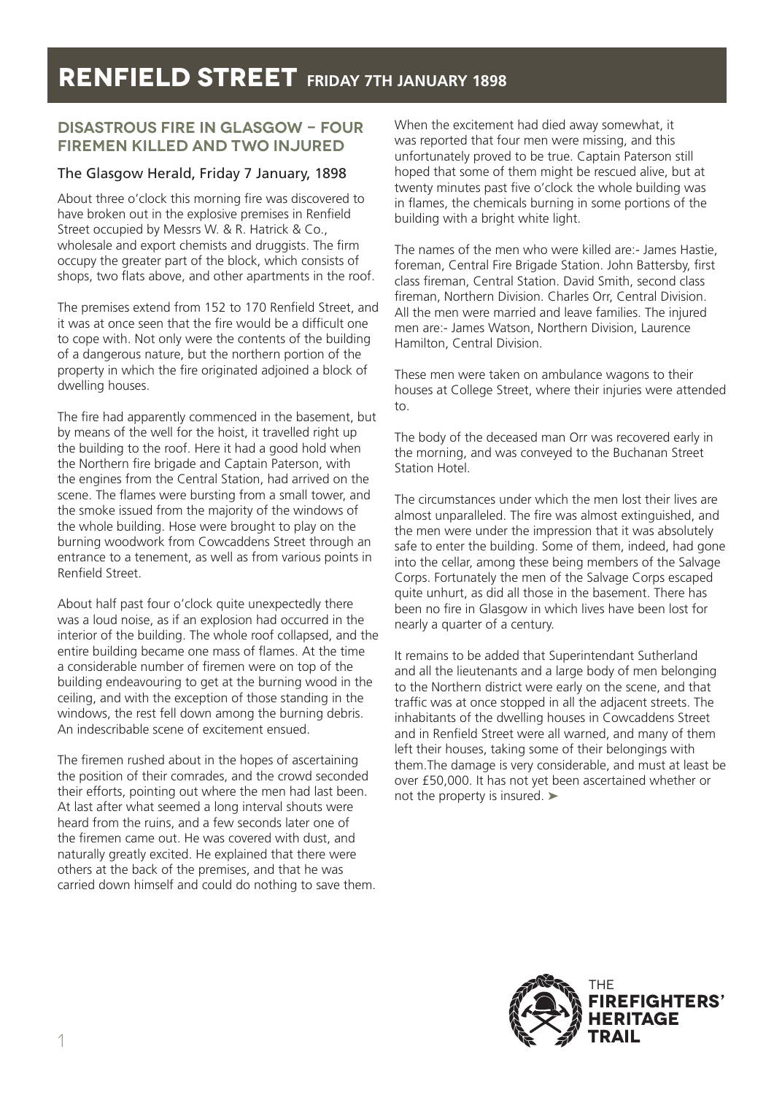### **DISASTROUS FIRE IN GLASGOW - FOUR FIREMEN KILLED AND TWO INJURED**

### The Glasgow Herald, Friday 7 January, 1898

About three o'clock this morning fire was discovered to have broken out in the explosive premises in Renfield Street occupied by Messrs W. & R. Hatrick & Co., wholesale and export chemists and druggists. The firm occupy the greater part of the block, which consists of shops, two flats above, and other apartments in the roof.

The premises extend from 152 to 170 Renfield Street, and it was at once seen that the fire would be a difficult one to cope with. Not only were the contents of the building of a dangerous nature, but the northern portion of the property in which the fire originated adjoined a block of dwelling houses.

The fire had apparently commenced in the basement, but by means of the well for the hoist, it travelled right up the building to the roof. Here it had a good hold when the Northern fire brigade and Captain Paterson, with the engines from the Central Station, had arrived on the scene. The flames were bursting from a small tower, and the smoke issued from the majority of the windows of the whole building. Hose were brought to play on the burning woodwork from Cowcaddens Street through an entrance to a tenement, as well as from various points in Renfield Street.

About half past four o'clock quite unexpectedly there was a loud noise, as if an explosion had occurred in the interior of the building. The whole roof collapsed, and the entire building became one mass of flames. At the time a considerable number of firemen were on top of the building endeavouring to get at the burning wood in the ceiling, and with the exception of those standing in the windows, the rest fell down among the burning debris. An indescribable scene of excitement ensued.

The firemen rushed about in the hopes of ascertaining the position of their comrades, and the crowd seconded their efforts, pointing out where the men had last been. At last after what seemed a long interval shouts were heard from the ruins, and a few seconds later one of the firemen came out. He was covered with dust, and naturally greatly excited. He explained that there were others at the back of the premises, and that he was carried down himself and could do nothing to save them. When the excitement had died away somewhat, it was reported that four men were missing, and this unfortunately proved to be true. Captain Paterson still hoped that some of them might be rescued alive, but at twenty minutes past five o'clock the whole building was in flames, the chemicals burning in some portions of the building with a bright white light.

The names of the men who were killed are:- James Hastie, foreman, Central Fire Brigade Station. John Battersby, first class fireman, Central Station. David Smith, second class fireman, Northern Division. Charles Orr, Central Division. All the men were married and leave families. The injured men are:- James Watson, Northern Division, Laurence Hamilton, Central Division.

These men were taken on ambulance wagons to their houses at College Street, where their injuries were attended to.

The body of the deceased man Orr was recovered early in the morning, and was conveyed to the Buchanan Street Station Hotel.

The circumstances under which the men lost their lives are almost unparalleled. The fire was almost extinguished, and the men were under the impression that it was absolutely safe to enter the building. Some of them, indeed, had gone into the cellar, among these being members of the Salvage Corps. Fortunately the men of the Salvage Corps escaped quite unhurt, as did all those in the basement. There has been no fire in Glasgow in which lives have been lost for nearly a quarter of a century.

It remains to be added that Superintendant Sutherland and all the lieutenants and a large body of men belonging to the Northern district were early on the scene, and that traffic was at once stopped in all the adjacent streets. The inhabitants of the dwelling houses in Cowcaddens Street and in Renfield Street were all warned, and many of them left their houses, taking some of their belongings with them.The damage is very considerable, and must at least be over £50,000. It has not yet been ascertained whether or not the property is insured. ➤

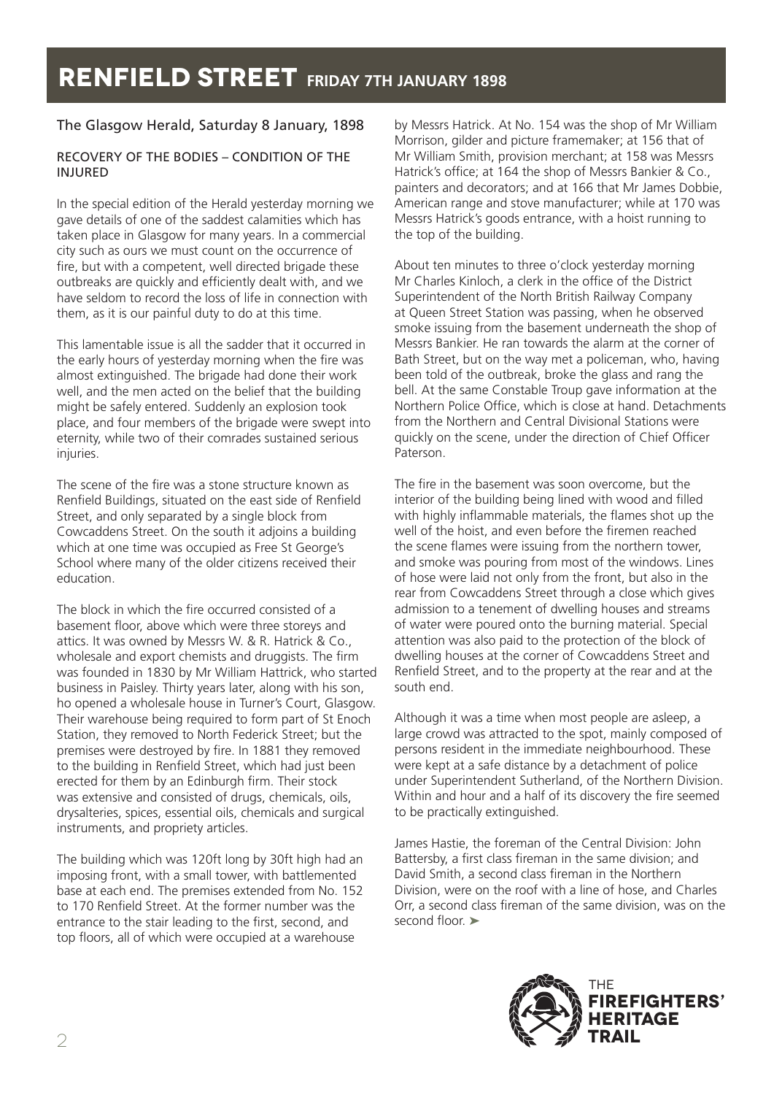### The Glasgow Herald, Saturday 8 January, 1898

#### RECOVERY OF THE BODIES – CONDITION OF THE INJURED

In the special edition of the Herald yesterday morning we gave details of one of the saddest calamities which has taken place in Glasgow for many years. In a commercial city such as ours we must count on the occurrence of fire, but with a competent, well directed brigade these outbreaks are quickly and efficiently dealt with, and we have seldom to record the loss of life in connection with them, as it is our painful duty to do at this time.

This lamentable issue is all the sadder that it occurred in the early hours of yesterday morning when the fire was almost extinguished. The brigade had done their work well, and the men acted on the belief that the building might be safely entered. Suddenly an explosion took place, and four members of the brigade were swept into eternity, while two of their comrades sustained serious injuries.

The scene of the fire was a stone structure known as Renfield Buildings, situated on the east side of Renfield Street, and only separated by a single block from Cowcaddens Street. On the south it adjoins a building which at one time was occupied as Free St George's School where many of the older citizens received their education.

The block in which the fire occurred consisted of a basement floor, above which were three storeys and attics. It was owned by Messrs W. & R. Hatrick & Co., wholesale and export chemists and druggists. The firm was founded in 1830 by Mr William Hattrick, who started business in Paisley. Thirty years later, along with his son, ho opened a wholesale house in Turner's Court, Glasgow. Their warehouse being required to form part of St Enoch Station, they removed to North Federick Street; but the premises were destroyed by fire. In 1881 they removed to the building in Renfield Street, which had just been erected for them by an Edinburgh firm. Their stock was extensive and consisted of drugs, chemicals, oils, drysalteries, spices, essential oils, chemicals and surgical instruments, and propriety articles.

The building which was 120ft long by 30ft high had an imposing front, with a small tower, with battlemented base at each end. The premises extended from No. 152 to 170 Renfield Street. At the former number was the entrance to the stair leading to the first, second, and top floors, all of which were occupied at a warehouse

by Messrs Hatrick. At No. 154 was the shop of Mr William Morrison, gilder and picture framemaker; at 156 that of Mr William Smith, provision merchant; at 158 was Messrs Hatrick's office; at 164 the shop of Messrs Bankier & Co., painters and decorators; and at 166 that Mr James Dobbie, American range and stove manufacturer; while at 170 was Messrs Hatrick's goods entrance, with a hoist running to the top of the building.

About ten minutes to three o'clock yesterday morning Mr Charles Kinloch, a clerk in the office of the District Superintendent of the North British Railway Company at Queen Street Station was passing, when he observed smoke issuing from the basement underneath the shop of Messrs Bankier. He ran towards the alarm at the corner of Bath Street, but on the way met a policeman, who, having been told of the outbreak, broke the glass and rang the bell. At the same Constable Troup gave information at the Northern Police Office, which is close at hand. Detachments from the Northern and Central Divisional Stations were quickly on the scene, under the direction of Chief Officer Paterson.

The fire in the basement was soon overcome, but the interior of the building being lined with wood and filled with highly inflammable materials, the flames shot up the well of the hoist, and even before the firemen reached the scene flames were issuing from the northern tower, and smoke was pouring from most of the windows. Lines of hose were laid not only from the front, but also in the rear from Cowcaddens Street through a close which gives admission to a tenement of dwelling houses and streams of water were poured onto the burning material. Special attention was also paid to the protection of the block of dwelling houses at the corner of Cowcaddens Street and Renfield Street, and to the property at the rear and at the south end.

Although it was a time when most people are asleep, a large crowd was attracted to the spot, mainly composed of persons resident in the immediate neighbourhood. These were kept at a safe distance by a detachment of police under Superintendent Sutherland, of the Northern Division. Within and hour and a half of its discovery the fire seemed to be practically extinguished.

James Hastie, the foreman of the Central Division: John Battersby, a first class fireman in the same division; and David Smith, a second class fireman in the Northern Division, were on the roof with a line of hose, and Charles Orr, a second class fireman of the same division, was on the second floor

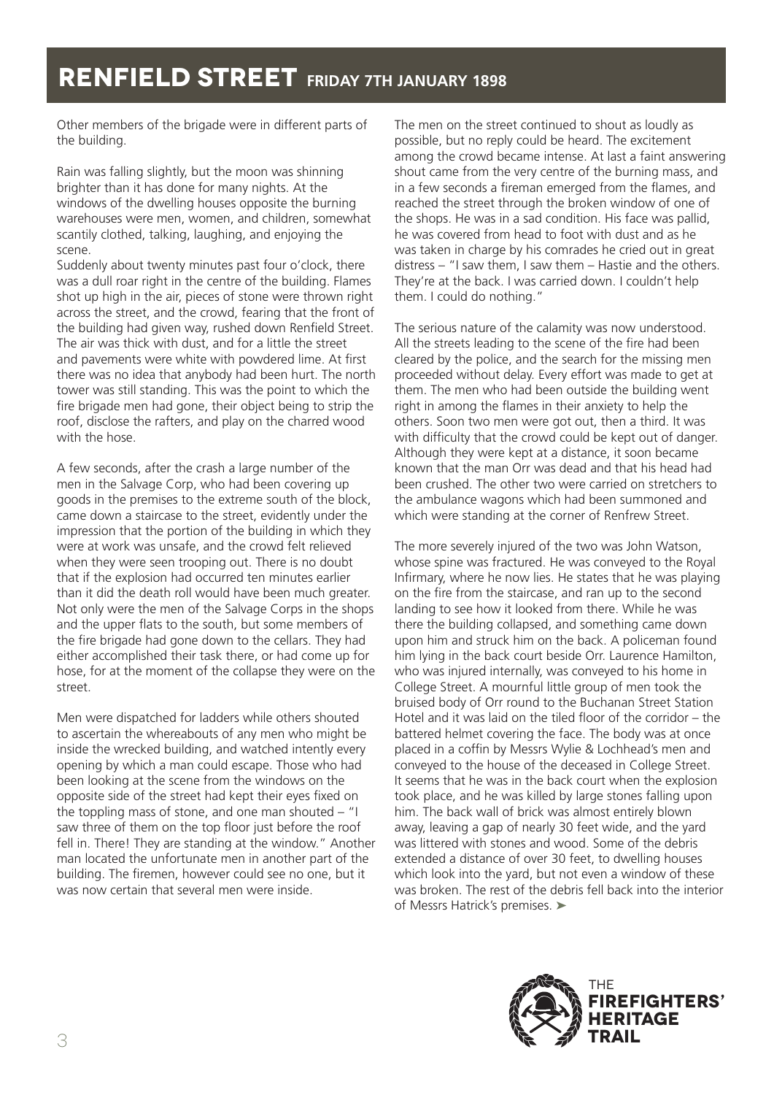Other members of the brigade were in different parts of the building.

Rain was falling slightly, but the moon was shinning brighter than it has done for many nights. At the windows of the dwelling houses opposite the burning warehouses were men, women, and children, somewhat scantily clothed, talking, laughing, and enjoying the scene.

Suddenly about twenty minutes past four o'clock, there was a dull roar right in the centre of the building. Flames shot up high in the air, pieces of stone were thrown right across the street, and the crowd, fearing that the front of the building had given way, rushed down Renfield Street. The air was thick with dust, and for a little the street and pavements were white with powdered lime. At first there was no idea that anybody had been hurt. The north tower was still standing. This was the point to which the fire brigade men had gone, their object being to strip the roof, disclose the rafters, and play on the charred wood with the hose.

A few seconds, after the crash a large number of the men in the Salvage Corp, who had been covering up goods in the premises to the extreme south of the block, came down a staircase to the street, evidently under the impression that the portion of the building in which they were at work was unsafe, and the crowd felt relieved when they were seen trooping out. There is no doubt that if the explosion had occurred ten minutes earlier than it did the death roll would have been much greater. Not only were the men of the Salvage Corps in the shops and the upper flats to the south, but some members of the fire brigade had gone down to the cellars. They had either accomplished their task there, or had come up for hose, for at the moment of the collapse they were on the street.

Men were dispatched for ladders while others shouted to ascertain the whereabouts of any men who might be inside the wrecked building, and watched intently every opening by which a man could escape. Those who had been looking at the scene from the windows on the opposite side of the street had kept their eyes fixed on the toppling mass of stone, and one man shouted  $-$  "I saw three of them on the top floor just before the roof fell in. There! They are standing at the window." Another man located the unfortunate men in another part of the building. The firemen, however could see no one, but it was now certain that several men were inside.

The men on the street continued to shout as loudly as possible, but no reply could be heard. The excitement among the crowd became intense. At last a faint answering shout came from the very centre of the burning mass, and in a few seconds a fireman emerged from the flames, and reached the street through the broken window of one of the shops. He was in a sad condition. His face was pallid, he was covered from head to foot with dust and as he was taken in charge by his comrades he cried out in great distress – "I saw them, I saw them – Hastie and the others. They're at the back. I was carried down. I couldn't help them. I could do nothing."

The serious nature of the calamity was now understood. All the streets leading to the scene of the fire had been cleared by the police, and the search for the missing men proceeded without delay. Every effort was made to get at them. The men who had been outside the building went right in among the flames in their anxiety to help the others. Soon two men were got out, then a third. It was with difficulty that the crowd could be kept out of danger. Although they were kept at a distance, it soon became known that the man Orr was dead and that his head had been crushed. The other two were carried on stretchers to the ambulance wagons which had been summoned and which were standing at the corner of Renfrew Street.

The more severely injured of the two was John Watson, whose spine was fractured. He was conveyed to the Royal Infirmary, where he now lies. He states that he was playing on the fire from the staircase, and ran up to the second landing to see how it looked from there. While he was there the building collapsed, and something came down upon him and struck him on the back. A policeman found him lying in the back court beside Orr. Laurence Hamilton, who was injured internally, was conveyed to his home in College Street. A mournful little group of men took the bruised body of Orr round to the Buchanan Street Station Hotel and it was laid on the tiled floor of the corridor – the battered helmet covering the face. The body was at once placed in a coffin by Messrs Wylie & Lochhead's men and conveyed to the house of the deceased in College Street. It seems that he was in the back court when the explosion took place, and he was killed by large stones falling upon him. The back wall of brick was almost entirely blown away, leaving a gap of nearly 30 feet wide, and the yard was littered with stones and wood. Some of the debris extended a distance of over 30 feet, to dwelling houses which look into the yard, but not even a window of these was broken. The rest of the debris fell back into the interior of Messrs Hatrick's premises. ➤

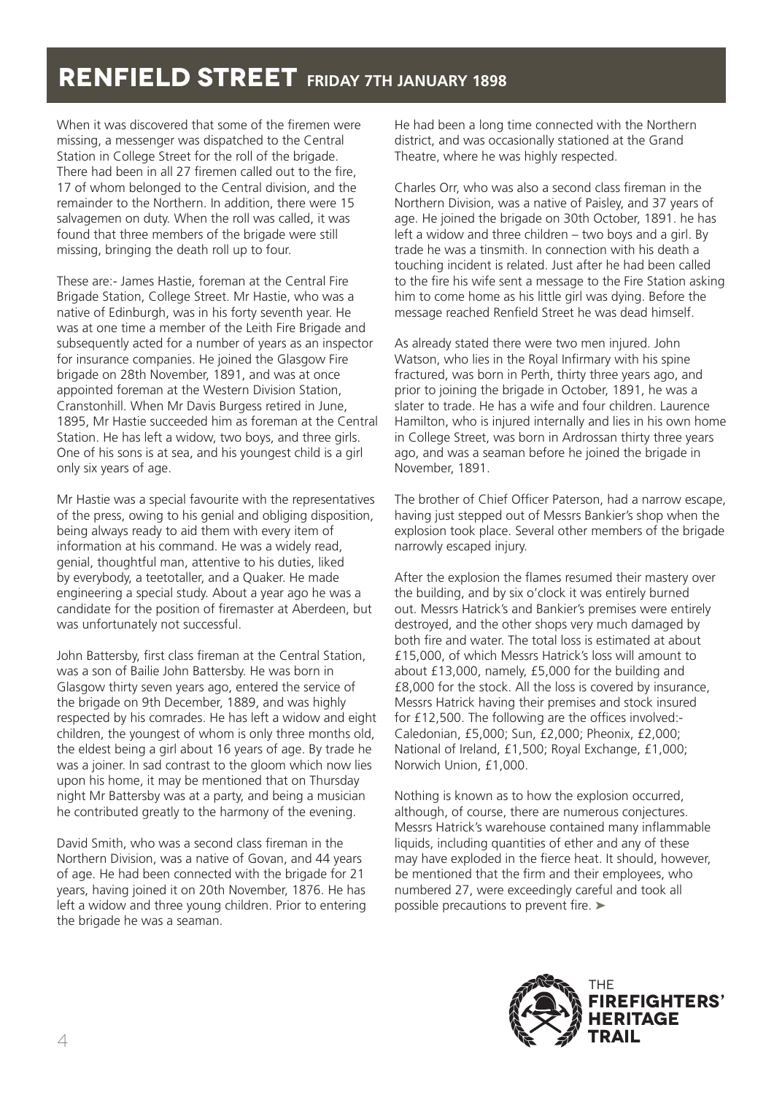When it was discovered that some of the firemen were missing, a messenger was dispatched to the Central Station in College Street for the roll of the brigade. There had been in all 27 firemen called out to the fire, 17 of whom belonged to the Central division, and the remainder to the Northern. In addition, there were 15 salvagemen on duty. When the roll was called, it was found that three members of the brigade were still missing, bringing the death roll up to four.

These are:- James Hastie, foreman at the Central Fire Brigade Station, College Street. Mr Hastie, who was a native of Edinburgh, was in his forty seventh year. He was at one time a member of the Leith Fire Brigade and subsequently acted for a number of years as an inspector for insurance companies. He joined the Glasgow Fire brigade on 28th November, 1891, and was at once appointed foreman at the Western Division Station, Cranstonhill. When Mr Davis Burgess retired in June, 1895, Mr Hastie succeeded him as foreman at the Central Station. He has left a widow, two boys, and three girls. One of his sons is at sea, and his youngest child is a girl only six years of age.

Mr Hastie was a special favourite with the representatives of the press, owing to his genial and obliging disposition, being always ready to aid them with every item of information at his command. He was a widely read, genial, thoughtful man, attentive to his duties, liked by everybody, a teetotaller, and a Quaker. He made engineering a special study. About a year ago he was a candidate for the position of firemaster at Aberdeen, but was unfortunately not successful.

John Battersby, first class fireman at the Central Station, was a son of Bailie John Battersby. He was born in Glasgow thirty seven years ago, entered the service of the brigade on 9th December, 1889, and was highly respected by his comrades. He has left a widow and eight children, the youngest of whom is only three months old, the eldest being a girl about 16 years of age. By trade he was a joiner. In sad contrast to the gloom which now lies upon his home, it may be mentioned that on Thursday night Mr Battersby was at a party, and being a musician he contributed greatly to the harmony of the evening.

David Smith, who was a second class fireman in the Northern Division, was a native of Govan, and 44 years of age. He had been connected with the brigade for 21 years, having joined it on 20th November, 1876. He has left a widow and three young children. Prior to entering the brigade he was a seaman.

He had been a long time connected with the Northern district, and was occasionally stationed at the Grand Theatre, where he was highly respected.

Charles Orr, who was also a second class fireman in the Northern Division, was a native of Paisley, and 37 years of age. He joined the brigade on 30th October, 1891. he has left a widow and three children – two boys and a girl. By trade he was a tinsmith. In connection with his death a touching incident is related. Just after he had been called to the fire his wife sent a message to the Fire Station asking him to come home as his little girl was dying. Before the message reached Renfield Street he was dead himself.

As already stated there were two men injured. John Watson, who lies in the Royal Infirmary with his spine fractured, was born in Perth, thirty three years ago, and prior to joining the brigade in October, 1891, he was a slater to trade. He has a wife and four children. Laurence Hamilton, who is injured internally and lies in his own home in College Street, was born in Ardrossan thirty three years ago, and was a seaman before he joined the brigade in November, 1891.

The brother of Chief Officer Paterson, had a narrow escape, having just stepped out of Messrs Bankier's shop when the explosion took place. Several other members of the brigade narrowly escaped injury.

After the explosion the flames resumed their mastery over the building, and by six o'clock it was entirely burned out. Messrs Hatrick's and Bankier's premises were entirely destroyed, and the other shops very much damaged by both fire and water. The total loss is estimated at about £15,000, of which Messrs Hatrick's loss will amount to about £13,000, namely, £5,000 for the building and £8,000 for the stock. All the loss is covered by insurance, Messrs Hatrick having their premises and stock insured for £12,500. The following are the offices involved:- Caledonian, £5,000; Sun, £2,000; Pheonix, £2,000; National of Ireland, £1,500; Royal Exchange, £1,000; Norwich Union, £1,000.

Nothing is known as to how the explosion occurred, although, of course, there are numerous conjectures. Messrs Hatrick's warehouse contained many inflammable liquids, including quantities of ether and any of these may have exploded in the fierce heat. It should, however, be mentioned that the firm and their employees, who numbered 27, were exceedingly careful and took all possible precautions to prevent fire. ►

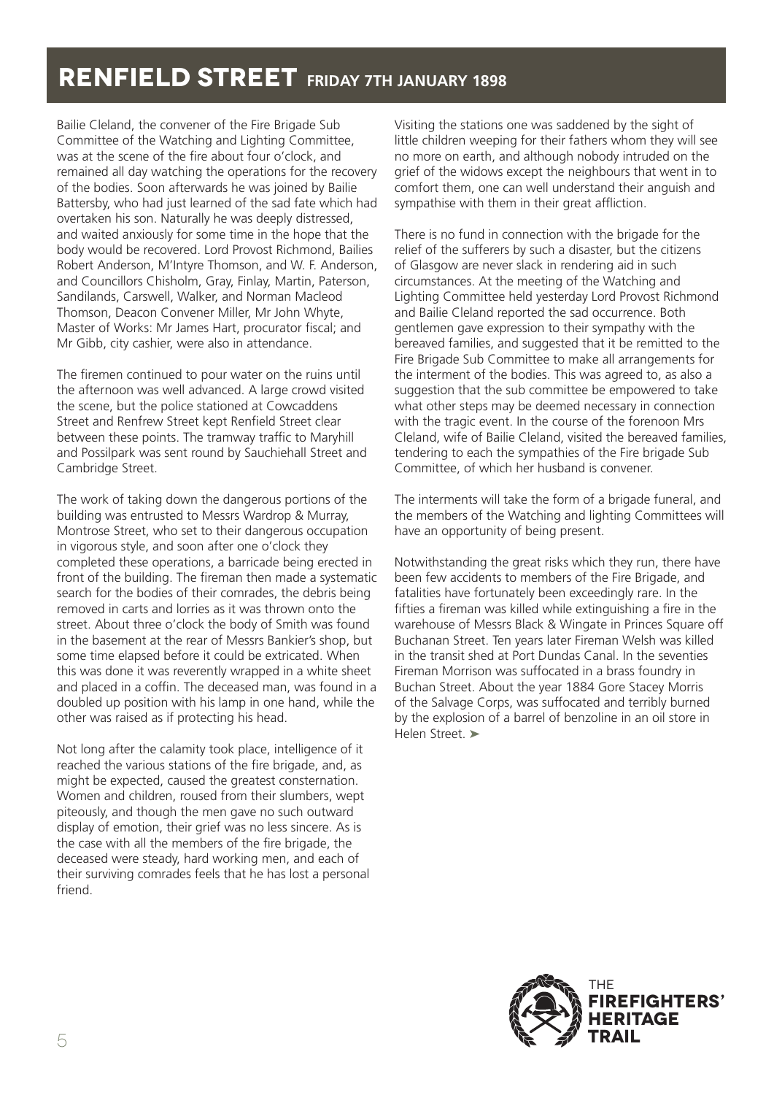Bailie Cleland, the convener of the Fire Brigade Sub Committee of the Watching and Lighting Committee, was at the scene of the fire about four o'clock, and remained all day watching the operations for the recovery of the bodies. Soon afterwards he was joined by Bailie Battersby, who had just learned of the sad fate which had overtaken his son. Naturally he was deeply distressed, and waited anxiously for some time in the hope that the body would be recovered. Lord Provost Richmond, Bailies Robert Anderson, M'Intyre Thomson, and W. F. Anderson, and Councillors Chisholm, Gray, Finlay, Martin, Paterson, Sandilands, Carswell, Walker, and Norman Macleod Thomson, Deacon Convener Miller, Mr John Whyte, Master of Works: Mr James Hart, procurator fiscal; and Mr Gibb, city cashier, were also in attendance.

The firemen continued to pour water on the ruins until the afternoon was well advanced. A large crowd visited the scene, but the police stationed at Cowcaddens Street and Renfrew Street kept Renfield Street clear between these points. The tramway traffic to Maryhill and Possilpark was sent round by Sauchiehall Street and Cambridge Street.

The work of taking down the dangerous portions of the building was entrusted to Messrs Wardrop & Murray, Montrose Street, who set to their dangerous occupation in vigorous style, and soon after one o'clock they completed these operations, a barricade being erected in front of the building. The fireman then made a systematic search for the bodies of their comrades, the debris being removed in carts and lorries as it was thrown onto the street. About three o'clock the body of Smith was found in the basement at the rear of Messrs Bankier's shop, but some time elapsed before it could be extricated. When this was done it was reverently wrapped in a white sheet and placed in a coffin. The deceased man, was found in a doubled up position with his lamp in one hand, while the other was raised as if protecting his head.

Not long after the calamity took place, intelligence of it reached the various stations of the fire brigade, and, as might be expected, caused the greatest consternation. Women and children, roused from their slumbers, wept piteously, and though the men gave no such outward display of emotion, their grief was no less sincere. As is the case with all the members of the fire brigade, the deceased were steady, hard working men, and each of their surviving comrades feels that he has lost a personal friend.

Visiting the stations one was saddened by the sight of little children weeping for their fathers whom they will see no more on earth, and although nobody intruded on the grief of the widows except the neighbours that went in to comfort them, one can well understand their anguish and sympathise with them in their great affliction.

There is no fund in connection with the brigade for the relief of the sufferers by such a disaster, but the citizens of Glasgow are never slack in rendering aid in such circumstances. At the meeting of the Watching and Lighting Committee held yesterday Lord Provost Richmond and Bailie Cleland reported the sad occurrence. Both gentlemen gave expression to their sympathy with the bereaved families, and suggested that it be remitted to the Fire Brigade Sub Committee to make all arrangements for the interment of the bodies. This was agreed to, as also a suggestion that the sub committee be empowered to take what other steps may be deemed necessary in connection with the tragic event. In the course of the forenoon Mrs Cleland, wife of Bailie Cleland, visited the bereaved families, tendering to each the sympathies of the Fire brigade Sub Committee, of which her husband is convener.

The interments will take the form of a brigade funeral, and the members of the Watching and lighting Committees will have an opportunity of being present.

Notwithstanding the great risks which they run, there have been few accidents to members of the Fire Brigade, and fatalities have fortunately been exceedingly rare. In the fifties a fireman was killed while extinguishing a fire in the warehouse of Messrs Black & Wingate in Princes Square off Buchanan Street. Ten years later Fireman Welsh was killed in the transit shed at Port Dundas Canal. In the seventies Fireman Morrison was suffocated in a brass foundry in Buchan Street. About the year 1884 Gore Stacey Morris of the Salvage Corps, was suffocated and terribly burned by the explosion of a barrel of benzoline in an oil store in Helen Street. ➤

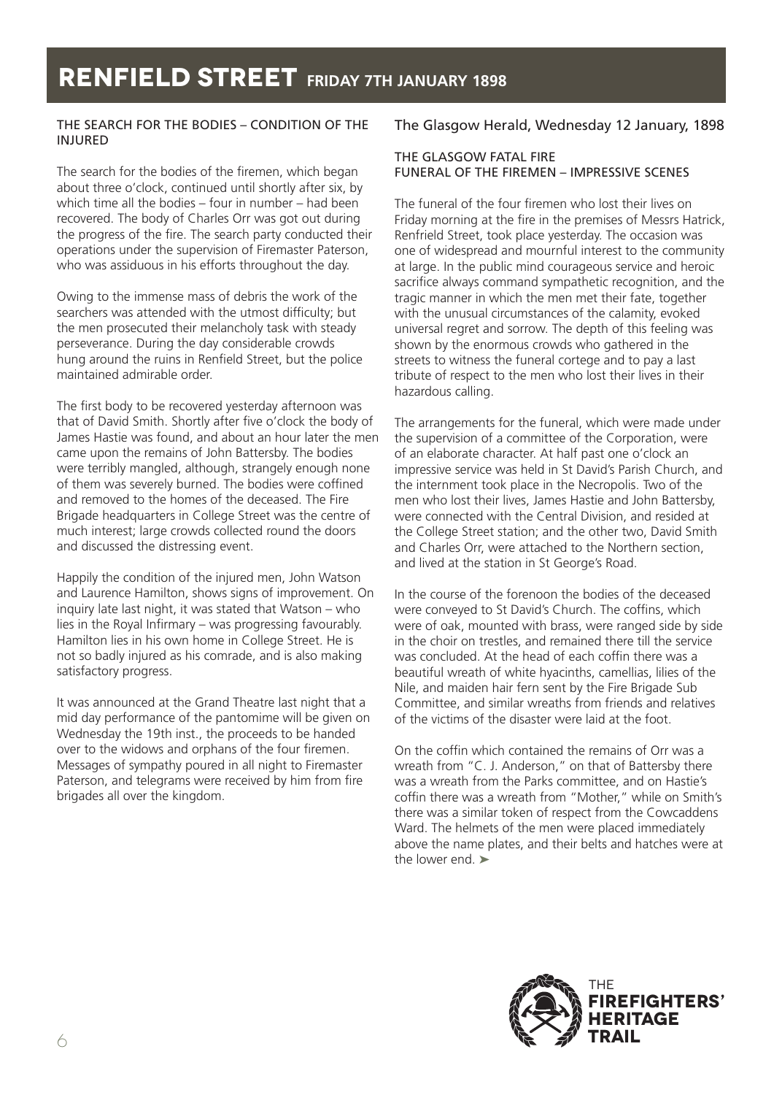### THE SEARCH FOR THE BODIES – CONDITION OF THE INJURED

The search for the bodies of the firemen, which began about three o'clock, continued until shortly after six, by which time all the bodies – four in number – had been recovered. The body of Charles Orr was got out during the progress of the fire. The search party conducted their operations under the supervision of Firemaster Paterson, who was assiduous in his efforts throughout the day.

Owing to the immense mass of debris the work of the searchers was attended with the utmost difficulty; but the men prosecuted their melancholy task with steady perseverance. During the day considerable crowds hung around the ruins in Renfield Street, but the police maintained admirable order.

The first body to be recovered yesterday afternoon was that of David Smith. Shortly after five o'clock the body of James Hastie was found, and about an hour later the men came upon the remains of John Battersby. The bodies were terribly mangled, although, strangely enough none of them was severely burned. The bodies were coffined and removed to the homes of the deceased. The Fire Brigade headquarters in College Street was the centre of much interest; large crowds collected round the doors and discussed the distressing event.

Happily the condition of the injured men, John Watson and Laurence Hamilton, shows signs of improvement. On inquiry late last night, it was stated that Watson – who lies in the Royal Infirmary – was progressing favourably. Hamilton lies in his own home in College Street. He is not so badly injured as his comrade, and is also making satisfactory progress.

It was announced at the Grand Theatre last night that a mid day performance of the pantomime will be given on Wednesday the 19th inst., the proceeds to be handed over to the widows and orphans of the four firemen. Messages of sympathy poured in all night to Firemaster Paterson, and telegrams were received by him from fire brigades all over the kingdom.

### The Glasgow Herald, Wednesday 12 January, 1898

### THE GLASGOW FATAL FIRE FUNERAL OF THE FIREMEN – IMPRESSIVE SCENES

The funeral of the four firemen who lost their lives on Friday morning at the fire in the premises of Messrs Hatrick, Renfrield Street, took place yesterday. The occasion was one of widespread and mournful interest to the community at large. In the public mind courageous service and heroic sacrifice always command sympathetic recognition, and the tragic manner in which the men met their fate, together with the unusual circumstances of the calamity, evoked universal regret and sorrow. The depth of this feeling was shown by the enormous crowds who gathered in the streets to witness the funeral cortege and to pay a last tribute of respect to the men who lost their lives in their hazardous calling.

The arrangements for the funeral, which were made under the supervision of a committee of the Corporation, were of an elaborate character. At half past one o'clock an impressive service was held in St David's Parish Church, and the internment took place in the Necropolis. Two of the men who lost their lives, James Hastie and John Battersby, were connected with the Central Division, and resided at the College Street station; and the other two, David Smith and Charles Orr, were attached to the Northern section, and lived at the station in St George's Road.

In the course of the forenoon the bodies of the deceased were conveyed to St David's Church. The coffins, which were of oak, mounted with brass, were ranged side by side in the choir on trestles, and remained there till the service was concluded. At the head of each coffin there was a beautiful wreath of white hyacinths, camellias, lilies of the Nile, and maiden hair fern sent by the Fire Brigade Sub Committee, and similar wreaths from friends and relatives of the victims of the disaster were laid at the foot.

On the coffin which contained the remains of Orr was a wreath from "C. J. Anderson," on that of Battersby there was a wreath from the Parks committee, and on Hastie's coffin there was a wreath from "Mother," while on Smith's there was a similar token of respect from the Cowcaddens Ward. The helmets of the men were placed immediately above the name plates, and their belts and hatches were at the lower end. ➤

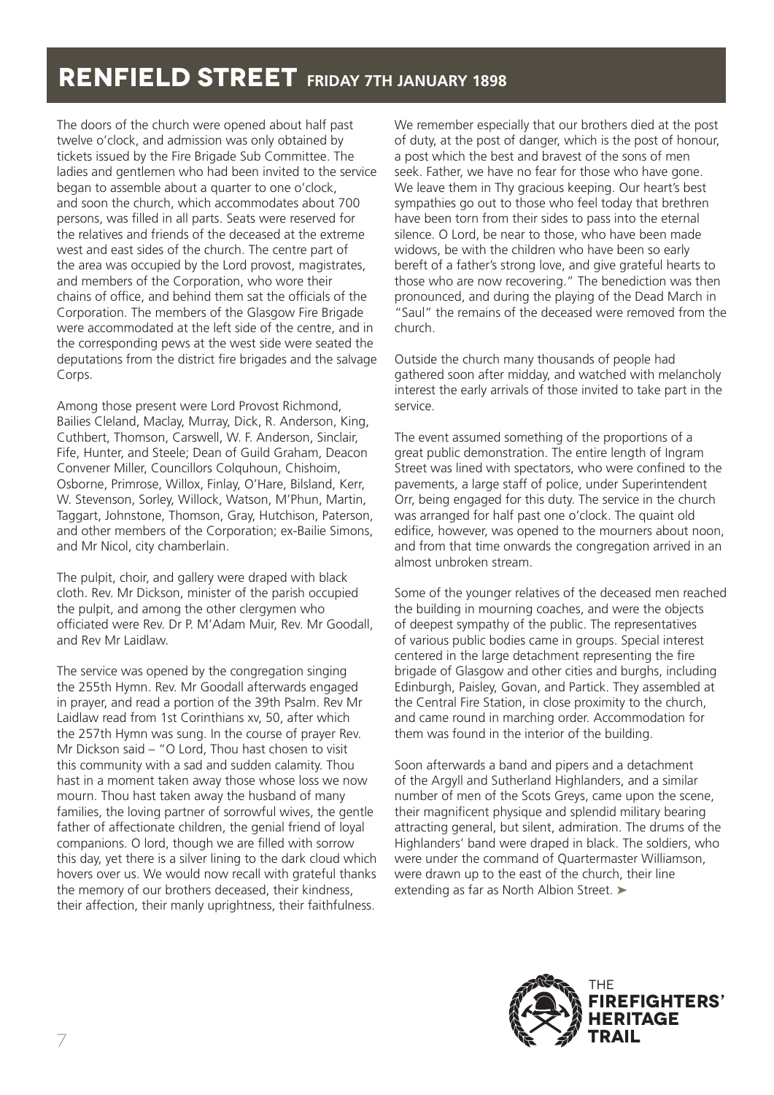The doors of the church were opened about half past twelve o'clock, and admission was only obtained by tickets issued by the Fire Brigade Sub Committee. The ladies and gentlemen who had been invited to the service began to assemble about a quarter to one o'clock, and soon the church, which accommodates about 700 persons, was filled in all parts. Seats were reserved for the relatives and friends of the deceased at the extreme west and east sides of the church. The centre part of the area was occupied by the Lord provost, magistrates, and members of the Corporation, who wore their chains of office, and behind them sat the officials of the Corporation. The members of the Glasgow Fire Brigade were accommodated at the left side of the centre, and in the corresponding pews at the west side were seated the deputations from the district fire brigades and the salvage Corps.

Among those present were Lord Provost Richmond, Bailies Cleland, Maclay, Murray, Dick, R. Anderson, King, Cuthbert, Thomson, Carswell, W. F. Anderson, Sinclair, Fife, Hunter, and Steele; Dean of Guild Graham, Deacon Convener Miller, Councillors Colquhoun, Chishoim, Osborne, Primrose, Willox, Finlay, O'Hare, Bilsland, Kerr, W. Stevenson, Sorley, Willock, Watson, M'Phun, Martin, Taggart, Johnstone, Thomson, Gray, Hutchison, Paterson, and other members of the Corporation; ex-Bailie Simons, and Mr Nicol, city chamberlain.

The pulpit, choir, and gallery were draped with black cloth. Rev. Mr Dickson, minister of the parish occupied the pulpit, and among the other clergymen who officiated were Rev. Dr P. M'Adam Muir, Rev. Mr Goodall, and Rev Mr Laidlaw.

The service was opened by the congregation singing the 255th Hymn. Rev. Mr Goodall afterwards engaged in prayer, and read a portion of the 39th Psalm. Rev Mr Laidlaw read from 1st Corinthians xv, 50, after which the 257th Hymn was sung. In the course of prayer Rev. Mr Dickson said – "O Lord, Thou hast chosen to visit this community with a sad and sudden calamity. Thou hast in a moment taken away those whose loss we now mourn. Thou hast taken away the husband of many families, the loving partner of sorrowful wives, the gentle father of affectionate children, the genial friend of loyal companions. O lord, though we are filled with sorrow this day, yet there is a silver lining to the dark cloud which hovers over us. We would now recall with grateful thanks the memory of our brothers deceased, their kindness, their affection, their manly uprightness, their faithfulness.

We remember especially that our brothers died at the post of duty, at the post of danger, which is the post of honour, a post which the best and bravest of the sons of men seek. Father, we have no fear for those who have gone. We leave them in Thy gracious keeping. Our heart's best sympathies go out to those who feel today that brethren have been torn from their sides to pass into the eternal silence. O Lord, be near to those, who have been made widows, be with the children who have been so early bereft of a father's strong love, and give grateful hearts to those who are now recovering." The benediction was then pronounced, and during the playing of the Dead March in "Saul" the remains of the deceased were removed from the church.

Outside the church many thousands of people had gathered soon after midday, and watched with melancholy interest the early arrivals of those invited to take part in the service.

The event assumed something of the proportions of a great public demonstration. The entire length of Ingram Street was lined with spectators, who were confined to the pavements, a large staff of police, under Superintendent Orr, being engaged for this duty. The service in the church was arranged for half past one o'clock. The quaint old edifice, however, was opened to the mourners about noon, and from that time onwards the congregation arrived in an almost unbroken stream.

Some of the younger relatives of the deceased men reached the building in mourning coaches, and were the objects of deepest sympathy of the public. The representatives of various public bodies came in groups. Special interest centered in the large detachment representing the fire brigade of Glasgow and other cities and burghs, including Edinburgh, Paisley, Govan, and Partick. They assembled at the Central Fire Station, in close proximity to the church, and came round in marching order. Accommodation for them was found in the interior of the building.

Soon afterwards a band and pipers and a detachment of the Argyll and Sutherland Highlanders, and a similar number of men of the Scots Greys, came upon the scene, their magnificent physique and splendid military bearing attracting general, but silent, admiration. The drums of the Highlanders' band were draped in black. The soldiers, who were under the command of Quartermaster Williamson, were drawn up to the east of the church, their line extending as far as North Albion Street. ►

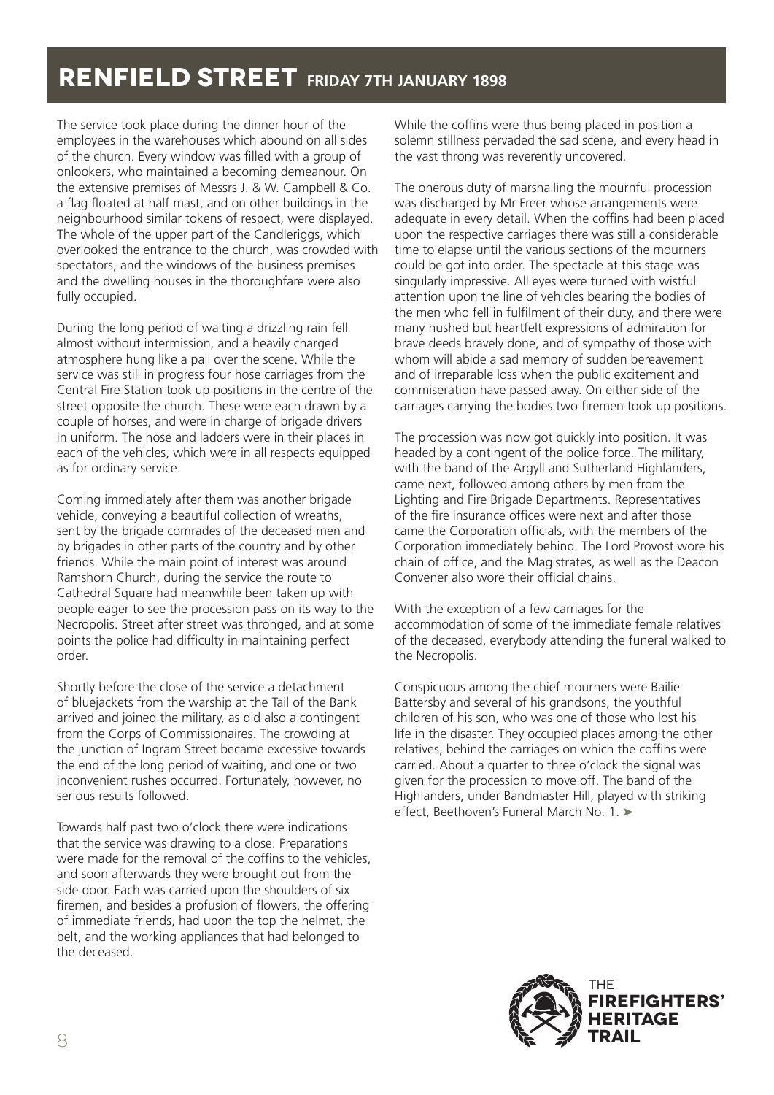The service took place during the dinner hour of the employees in the warehouses which abound on all sides of the church. Every window was filled with a group of onlookers, who maintained a becoming demeanour. On the extensive premises of Messrs J. & W. Campbell & Co. a flag floated at half mast, and on other buildings in the neighbourhood similar tokens of respect, were displayed. The whole of the upper part of the Candleriggs, which overlooked the entrance to the church, was crowded with spectators, and the windows of the business premises and the dwelling houses in the thoroughfare were also fully occupied.

During the long period of waiting a drizzling rain fell almost without intermission, and a heavily charged atmosphere hung like a pall over the scene. While the service was still in progress four hose carriages from the Central Fire Station took up positions in the centre of the street opposite the church. These were each drawn by a couple of horses, and were in charge of brigade drivers in uniform. The hose and ladders were in their places in each of the vehicles, which were in all respects equipped as for ordinary service.

Coming immediately after them was another brigade vehicle, conveying a beautiful collection of wreaths, sent by the brigade comrades of the deceased men and by brigades in other parts of the country and by other friends. While the main point of interest was around Ramshorn Church, during the service the route to Cathedral Square had meanwhile been taken up with people eager to see the procession pass on its way to the Necropolis. Street after street was thronged, and at some points the police had difficulty in maintaining perfect order.

Shortly before the close of the service a detachment of bluejackets from the warship at the Tail of the Bank arrived and joined the military, as did also a contingent from the Corps of Commissionaires. The crowding at the junction of Ingram Street became excessive towards the end of the long period of waiting, and one or two inconvenient rushes occurred. Fortunately, however, no serious results followed.

Towards half past two o'clock there were indications that the service was drawing to a close. Preparations were made for the removal of the coffins to the vehicles, and soon afterwards they were brought out from the side door. Each was carried upon the shoulders of six firemen, and besides a profusion of flowers, the offering of immediate friends, had upon the top the helmet, the belt, and the working appliances that had belonged to the deceased.

While the coffins were thus being placed in position a solemn stillness pervaded the sad scene, and every head in the vast throng was reverently uncovered.

The onerous duty of marshalling the mournful procession was discharged by Mr Freer whose arrangements were adequate in every detail. When the coffins had been placed upon the respective carriages there was still a considerable time to elapse until the various sections of the mourners could be got into order. The spectacle at this stage was singularly impressive. All eyes were turned with wistful attention upon the line of vehicles bearing the bodies of the men who fell in fulfilment of their duty, and there were many hushed but heartfelt expressions of admiration for brave deeds bravely done, and of sympathy of those with whom will abide a sad memory of sudden bereavement and of irreparable loss when the public excitement and commiseration have passed away. On either side of the carriages carrying the bodies two firemen took up positions.

The procession was now got quickly into position. It was headed by a contingent of the police force. The military, with the band of the Argyll and Sutherland Highlanders, came next, followed among others by men from the Lighting and Fire Brigade Departments. Representatives of the fire insurance offices were next and after those came the Corporation officials, with the members of the Corporation immediately behind. The Lord Provost wore his chain of office, and the Magistrates, as well as the Deacon Convener also wore their official chains.

With the exception of a few carriages for the accommodation of some of the immediate female relatives of the deceased, everybody attending the funeral walked to the Necropolis.

Conspicuous among the chief mourners were Bailie Battersby and several of his grandsons, the youthful children of his son, who was one of those who lost his life in the disaster. They occupied places among the other relatives, behind the carriages on which the coffins were carried. About a quarter to three o'clock the signal was given for the procession to move off. The band of the Highlanders, under Bandmaster Hill, played with striking effect, Beethoven's Funeral March No. 1. ►

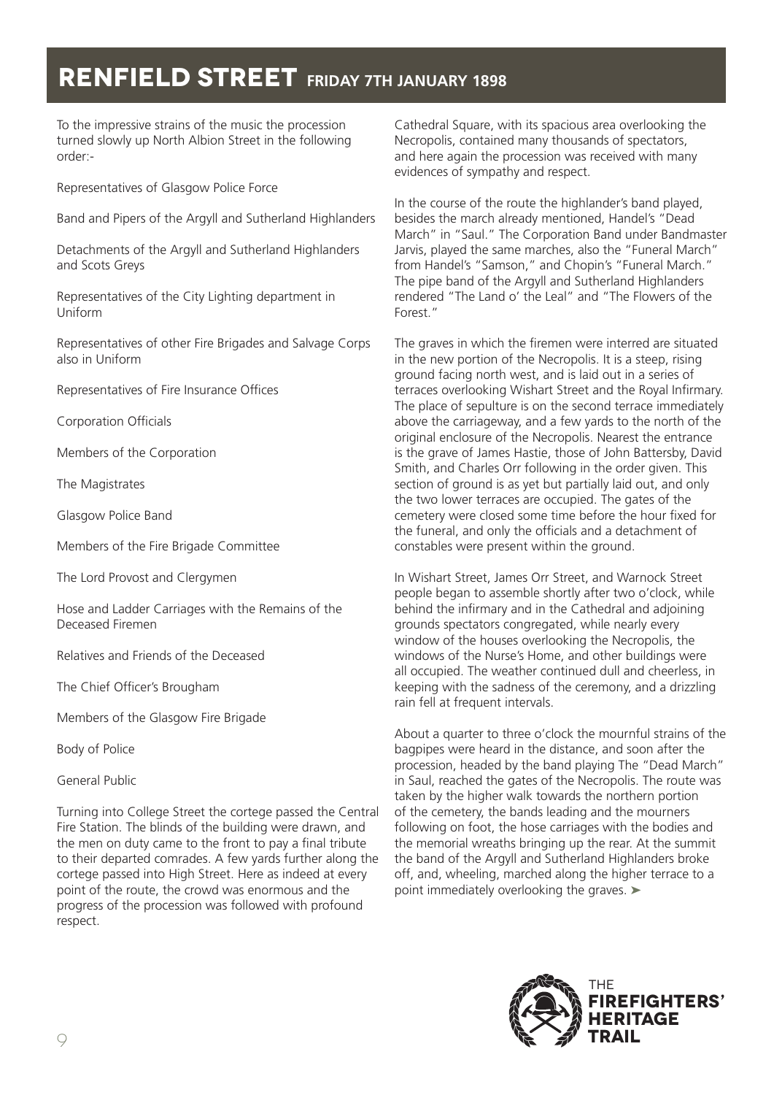To the impressive strains of the music the procession turned slowly up North Albion Street in the following order:-

Representatives of Glasgow Police Force

Band and Pipers of the Argyll and Sutherland Highlanders

Detachments of the Argyll and Sutherland Highlanders and Scots Greys

Representatives of the City Lighting department in Uniform

Representatives of other Fire Brigades and Salvage Corps also in Uniform

Representatives of Fire Insurance Offices

Corporation Officials

Members of the Corporation

The Magistrates

Glasgow Police Band

Members of the Fire Brigade Committee

The Lord Provost and Clergymen

Hose and Ladder Carriages with the Remains of the Deceased Firemen

Relatives and Friends of the Deceased

The Chief Officer's Brougham

Members of the Glasgow Fire Brigade

Body of Police

General Public

Turning into College Street the cortege passed the Central Fire Station. The blinds of the building were drawn, and the men on duty came to the front to pay a final tribute to their departed comrades. A few yards further along the cortege passed into High Street. Here as indeed at every point of the route, the crowd was enormous and the progress of the procession was followed with profound respect.

Cathedral Square, with its spacious area overlooking the Necropolis, contained many thousands of spectators, and here again the procession was received with many evidences of sympathy and respect.

In the course of the route the highlander's band played, besides the march already mentioned, Handel's "Dead March" in "Saul." The Corporation Band under Bandmaster Jarvis, played the same marches, also the "Funeral March" from Handel's "Samson," and Chopin's "Funeral March." The pipe band of the Argyll and Sutherland Highlanders rendered "The Land o' the Leal" and "The Flowers of the Forest."

The graves in which the firemen were interred are situated in the new portion of the Necropolis. It is a steep, rising ground facing north west, and is laid out in a series of terraces overlooking Wishart Street and the Royal Infirmary. The place of sepulture is on the second terrace immediately above the carriageway, and a few yards to the north of the original enclosure of the Necropolis. Nearest the entrance is the grave of James Hastie, those of John Battersby, David Smith, and Charles Orr following in the order given. This section of ground is as yet but partially laid out, and only the two lower terraces are occupied. The gates of the cemetery were closed some time before the hour fixed for the funeral, and only the officials and a detachment of constables were present within the ground.

In Wishart Street, James Orr Street, and Warnock Street people began to assemble shortly after two o'clock, while behind the infirmary and in the Cathedral and adjoining grounds spectators congregated, while nearly every window of the houses overlooking the Necropolis, the windows of the Nurse's Home, and other buildings were all occupied. The weather continued dull and cheerless, in keeping with the sadness of the ceremony, and a drizzling rain fell at frequent intervals.

About a quarter to three o'clock the mournful strains of the bagpipes were heard in the distance, and soon after the procession, headed by the band playing The "Dead March" in Saul, reached the gates of the Necropolis. The route was taken by the higher walk towards the northern portion of the cemetery, the bands leading and the mourners following on foot, the hose carriages with the bodies and the memorial wreaths bringing up the rear. At the summit the band of the Argyll and Sutherland Highlanders broke off, and, wheeling, marched along the higher terrace to a point immediately overlooking the graves. ►

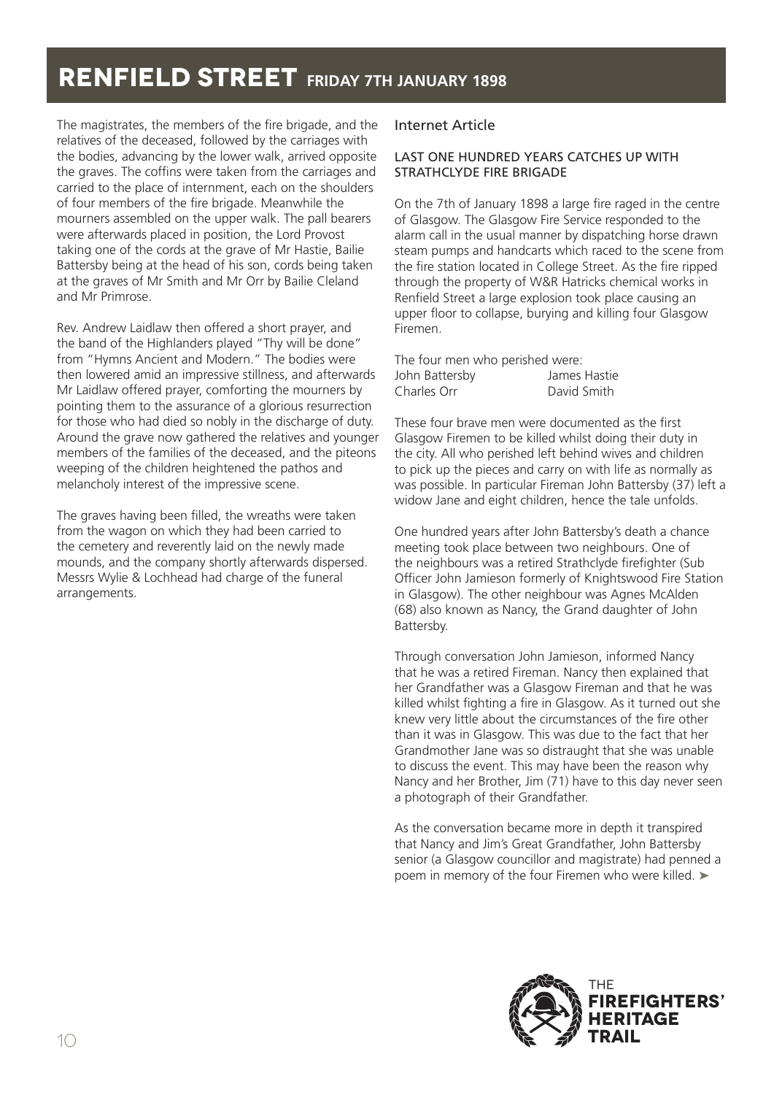The magistrates, the members of the fire brigade, and the relatives of the deceased, followed by the carriages with the bodies, advancing by the lower walk, arrived opposite the graves. The coffins were taken from the carriages and carried to the place of internment, each on the shoulders of four members of the fire brigade. Meanwhile the mourners assembled on the upper walk. The pall bearers were afterwards placed in position, the Lord Provost taking one of the cords at the grave of Mr Hastie, Bailie Battersby being at the head of his son, cords being taken at the graves of Mr Smith and Mr Orr by Bailie Cleland and Mr Primrose.

Rev. Andrew Laidlaw then offered a short prayer, and the band of the Highlanders played "Thy will be done" from "Hymns Ancient and Modern." The bodies were then lowered amid an impressive stillness, and afterwards Mr Laidlaw offered prayer, comforting the mourners by pointing them to the assurance of a glorious resurrection for those who had died so nobly in the discharge of duty. Around the grave now gathered the relatives and younger members of the families of the deceased, and the piteons weeping of the children heightened the pathos and melancholy interest of the impressive scene.

The graves having been filled, the wreaths were taken from the wagon on which they had been carried to the cemetery and reverently laid on the newly made mounds, and the company shortly afterwards dispersed. Messrs Wylie & Lochhead had charge of the funeral arrangements.

### Internet Article

#### LAST ONE HUNDRED YEARS CATCHES UP WITH STRATHCLYDE FIRE BRIGADE

On the 7th of January 1898 a large fire raged in the centre of Glasgow. The Glasgow Fire Service responded to the alarm call in the usual manner by dispatching horse drawn steam pumps and handcarts which raced to the scene from the fire station located in College Street. As the fire ripped through the property of W&R Hatricks chemical works in Renfield Street a large explosion took place causing an upper floor to collapse, burying and killing four Glasgow Firemen.

| The four men who perished were: |              |
|---------------------------------|--------------|
| John Battersby                  | James Hastie |
| Charles Orr                     | David Smith  |

These four brave men were documented as the first Glasgow Firemen to be killed whilst doing their duty in the city. All who perished left behind wives and children to pick up the pieces and carry on with life as normally as was possible. In particular Fireman John Battersby (37) left a widow Jane and eight children, hence the tale unfolds.

One hundred years after John Battersby's death a chance meeting took place between two neighbours. One of the neighbours was a retired Strathclyde firefighter (Sub Officer John Jamieson formerly of Knightswood Fire Station in Glasgow). The other neighbour was Agnes McAlden (68) also known as Nancy, the Grand daughter of John Battersby.

Through conversation John Jamieson, informed Nancy that he was a retired Fireman. Nancy then explained that her Grandfather was a Glasgow Fireman and that he was killed whilst fighting a fire in Glasgow. As it turned out she knew very little about the circumstances of the fire other than it was in Glasgow. This was due to the fact that her Grandmother Jane was so distraught that she was unable to discuss the event. This may have been the reason why Nancy and her Brother, Jim (71) have to this day never seen a photograph of their Grandfather.

As the conversation became more in depth it transpired that Nancy and Jim's Great Grandfather, John Battersby senior (a Glasgow councillor and magistrate) had penned a poem in memory of the four Firemen who were killed. ►